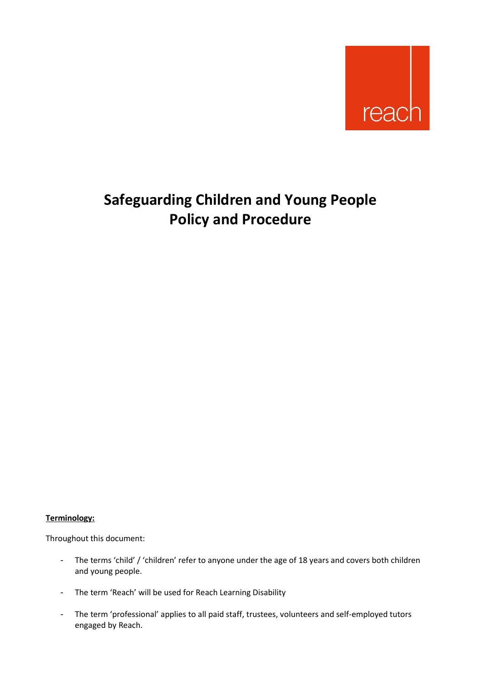

# **Safeguarding Children and Young People Policy and Procedure**

#### **Terminology:**

Throughout this document:

- The terms 'child' / 'children' refer to anyone under the age of 18 years and covers both children and young people.
- The term 'Reach' will be used for Reach Learning Disability
- The term 'professional' applies to all paid staff, trustees, volunteers and self-employed tutors engaged by Reach.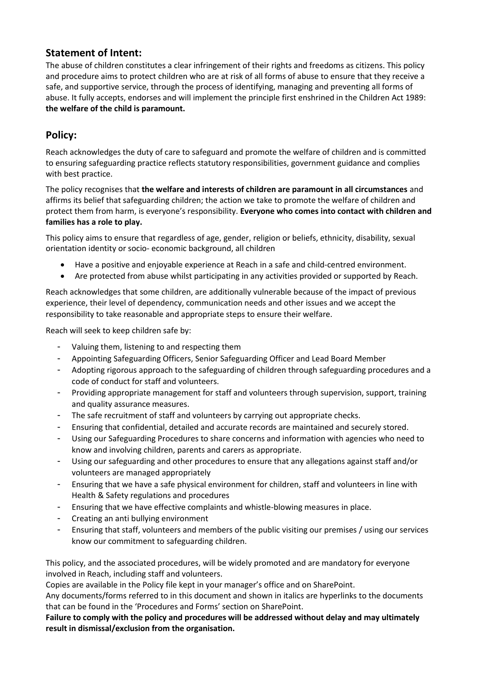# **Statement of Intent:**

The abuse of children constitutes a clear infringement of their rights and freedoms as citizens. This policy and procedure aims to protect children who are at risk of all forms of abuse to ensure that they receive a safe, and supportive service, through the process of identifying, managing and preventing all forms of abuse. It fully accepts, endorses and will implement the principle first enshrined in the Children Act 1989: **the welfare of the child is paramount.**

# **Policy:**

Reach acknowledges the duty of care to safeguard and promote the welfare of children and is committed to ensuring safeguarding practice reflects statutory responsibilities, government guidance and complies with best practice.

The policy recognises that **the welfare and interests of children are paramount in all circumstances** and affirms its belief that safeguarding children; the action we take to promote the welfare of children and protect them from harm, is everyone's responsibility. **Everyone who comes into contact with children and families has a role to play.**

This policy aims to ensure that regardless of age, gender, religion or beliefs, ethnicity, disability, sexual orientation identity or socio- economic background, all children

- Have a positive and enjoyable experience at Reach in a safe and child-centred environment.
- Are protected from abuse whilst participating in any activities provided or supported by Reach.

Reach acknowledges that some children, are additionally vulnerable because of the impact of previous experience, their level of dependency, communication needs and other issues and we accept the responsibility to take reasonable and appropriate steps to ensure their welfare.

Reach will seek to keep children safe by:

- Valuing them, listening to and respecting them
- Appointing Safeguarding Officers, Senior Safeguarding Officer and Lead Board Member
- Adopting rigorous approach to the safeguarding of children through safeguarding procedures and a code of conduct for staff and volunteers.
- Providing appropriate management for staff and volunteers through supervision, support, training and quality assurance measures.
- The safe recruitment of staff and volunteers by carrying out appropriate checks.
- Ensuring that confidential, detailed and accurate records are maintained and securely stored.
- Using our Safeguarding Procedures to share concerns and information with agencies who need to know and involving children, parents and carers as appropriate.
- Using our safeguarding and other procedures to ensure that any allegations against staff and/or volunteers are managed appropriately
- Ensuring that we have a safe physical environment for children, staff and volunteers in line with Health & Safety regulations and procedures
- Ensuring that we have effective complaints and whistle-blowing measures in place.
- Creating an anti bullying environment
- Ensuring that staff, volunteers and members of the public visiting our premises / using our services know our commitment to safeguarding children.

This policy, and the associated procedures, will be widely promoted and are mandatory for everyone involved in Reach, including staff and volunteers.

Copies are available in the Policy file kept in your manager's office and on SharePoint.

Any documents/forms referred to in this document and shown in italics are hyperlinks to the documents that can be found in the 'Procedures and Forms' section on SharePoint.

**Failure to comply with the policy and procedures will be addressed without delay and may ultimately result in dismissal/exclusion from the organisation.**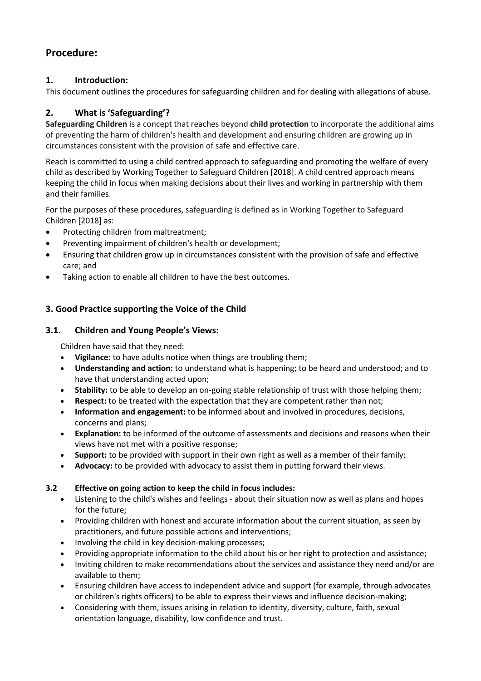# **Procedure:**

#### **1. Introduction:**

This document outlines the procedures for safeguarding children and for dealing with allegations of abuse.

# **2. What is 'Safeguarding'?**

**Safeguarding Children** is a concept that reaches beyond **child protection** to incorporate the additional aims of preventing the harm of children's health and development and ensuring children are growing up in circumstances consistent with the provision of safe and effective care.

Reach is committed to using a child centred approach to safeguarding and promoting the welfare of every child as described by Working Together to Safeguard Children [2018]. A child centred approach means keeping the child in focus when making decisions about their lives and working in partnership with them and their families.

For the purposes of these procedures, safeguarding is defined as in Working Together to Safeguard Children [2018] as:

- Protecting children from maltreatment;
- Preventing impairment of children's health or development;
- Ensuring that children grow up in circumstances consistent with the provision of safe and effective care; and
- Taking action to enable all children to have the best outcomes.

### **3. Good Practice supporting the Voice of the Child**

#### **3.1. Children and Young People's Views:**

Children have said that they need:

- **Vigilance:** to have adults notice when things are troubling them;
- **Understanding and action:** to understand what is happening; to be heard and understood; and to have that understanding acted upon;
- **Stability:** to be able to develop an on-going stable relationship of trust with those helping them;
- **Respect:** to be treated with the expectation that they are competent rather than not;
- **Information and engagement:** to be informed about and involved in procedures, decisions, concerns and plans;
- **Explanation:** to be informed of the outcome of assessments and decisions and reasons when their views have not met with a positive response;
- **Support:** to be provided with support in their own right as well as a member of their family;
- **Advocacy:** to be provided with advocacy to assist them in putting forward their views.

#### **3.2 Effective on going action to keep the child in focus includes:**

- Listening to the child's wishes and feelings about their situation now as well as plans and hopes for the future;
- Providing children with honest and accurate information about the current situation, as seen by practitioners, and future possible actions and interventions;
- Involving the child in key decision-making processes;
- Providing appropriate information to the child about his or her right to protection and assistance;
- Inviting children to make recommendations about the services and assistance they need and/or are available to them;
- Ensuring children have access to independent advice and support (for example, through advocates or children's rights officers) to be able to express their views and influence decision-making;
- Considering with them, issues arising in relation to identity, diversity, culture, faith, sexual orientation language, disability, low confidence and trust.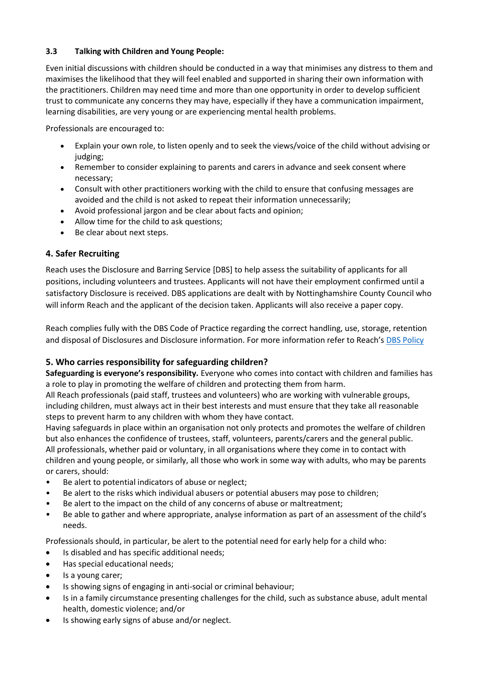#### **3.3 Talking with Children and Young People:**

Even initial discussions with children should be conducted in a way that minimises any distress to them and maximises the likelihood that they will feel enabled and supported in sharing their own information with the practitioners. Children may need time and more than one opportunity in order to develop sufficient trust to communicate any concerns they may have, especially if they have a communication impairment, learning disabilities, are very young or are experiencing mental health problems.

Professionals are encouraged to:

- Explain your own role, to listen openly and to seek the views/voice of the child without advising or judging;
- Remember to consider explaining to parents and carers in advance and seek consent where necessary;
- Consult with other practitioners working with the child to ensure that confusing messages are avoided and the child is not asked to repeat their information unnecessarily;
- Avoid professional jargon and be clear about facts and opinion;
- Allow time for the child to ask questions;
- Be clear about next steps.

#### **4. Safer Recruiting**

Reach uses the Disclosure and Barring Service [DBS] to help assess the suitability of applicants for all positions, including volunteers and trustees. Applicants will not have their employment confirmed until a satisfactory Disclosure is received. DBS applications are dealt with by Nottinghamshire County Council who will inform Reach and the applicant of the decision taken. Applicants will also receive a paper copy.

Reach complies fully with the DBS Code of Practice regarding the correct handling, use, storage, retention and disposal of Disclosures and Disclosure information. For more information refer to Reach's [DBS Policy](https://reachuk.sharepoint.com/sites/documentlibrary/Shared%20Documents/Forms/AllItems.aspx?id=%2Fsites%2Fdocumentlibrary%2FShared%20Documents%2FPolicies%20and%20Procedures%2FCurrent%20Policies%2FDBS%20Policy%20inc%20ex%2Doffenders%20policy%2Epdf&parent=%2Fsites%2Fdocumentlibrary%2FShared%20Documents%2FPolicies%20and%20Procedures%2FCurrent%20Policies)

#### **5. Who carries responsibility for safeguarding children?**

**Safeguarding is everyone's responsibility.** Everyone who comes into contact with children and families has a role to play in promoting the welfare of children and protecting them from harm.

All Reach professionals (paid staff, trustees and volunteers) who are working with vulnerable groups, including children, must always act in their best interests and must ensure that they take all reasonable steps to prevent harm to any children with whom they have contact.

Having safeguards in place within an organisation not only protects and promotes the welfare of children but also enhances the confidence of trustees, staff, volunteers, parents/carers and the general public. All professionals, whether paid or voluntary, in all organisations where they come in to contact with children and young people, or similarly, all those who work in some way with adults, who may be parents or carers, should:

- Be alert to potential indicators of abuse or neglect;
- Be alert to the risks which individual abusers or potential abusers may pose to children;
- Be alert to the impact on the child of any concerns of abuse or maltreatment;
- Be able to gather and where appropriate, analyse information as part of an assessment of the child's needs.

Professionals should, in particular, be alert to the potential need for early help for a child who:

- Is disabled and has specific additional needs;
- Has special educational needs;
- Is a young carer;
- Is showing signs of engaging in anti-social or criminal behaviour;
- Is in a family circumstance presenting challenges for the child, such as substance abuse, adult mental health, domestic violence; and/or
- Is showing early signs of abuse and/or neglect.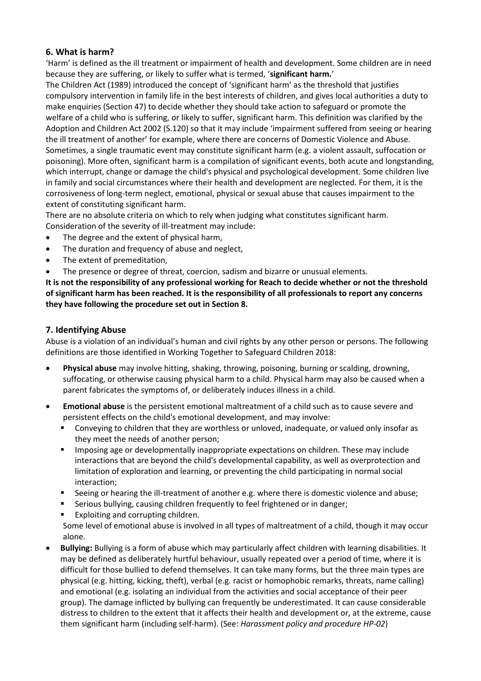#### **6. What is harm?**

'Harm' is defined as the ill treatment or impairment of health and development. Some children are in need because they are suffering, or likely to suffer what is termed, '**significant harm.**'

The [Children Act \(1989](http://www.legislation.gov.uk/ukpga/1989/41/contents)) introduced the concept of 'significant harm' as the threshold that justifies compulsory intervention in family life in the best interests of children, and gives local authorities a duty to make enquiries (Section 47) to decide whether they should take action to safeguard or promote the welfare of a child who is suffering, or likely to suffer, significant harm. This definition was clarified by the Adoption and Children Act 2002 (S.120) so that it may include 'impairment suffered from seeing or hearing the ill treatment of another' for example, where there are concerns of Domestic Violence and Abuse. Sometimes, a single traumatic event may constitute significant harm (e.g. a violent assault, suffocation or poisoning). More often, significant harm is a compilation of significant events, both acute and longstanding, which interrupt, change or damage the child's physical and psychological development. Some children live in family and social circumstances where their health and development are neglected. For them, it is the corrosiveness of long-term neglect, emotional, physical or sexual abuse that causes impairment to the extent of constituting significant harm.

There are no absolute criteria on which to rely when judging what constitutes significant harm. Consideration of the severity of ill-treatment may include:

- The degree and the extent of physical harm,
- The duration and frequency of abuse and neglect,
- The extent of premeditation,
- The presence or degree of threat, coercion, sadism and bizarre or unusual elements.

**It is not the responsibility of any professional working for Reach to decide whether or not the threshold of significant harm has been reached. It is the responsibility of all professionals to report any concerns they have following the procedure set out in Section 8.**

#### **7. Identifying Abuse**

Abuse is a violation of an individual's human and civil rights by any other person or persons. The following definitions are those identified in Working Together to Safeguard Children 2018:

- **Physical abuse** may involve hitting, shaking, throwing, poisoning, burning or scalding, drowning, suffocating, or otherwise causing physical harm to a child. Physical harm may also be caused when a parent fabricates the symptoms of, or deliberately induces illness in a child.
- **Emotional abuse** is the persistent emotional maltreatment of a child such as to cause severe and persistent effects on the child's emotional development, and may involve:
	- Conveying to children that they are worthless or unloved, inadequate, or valued only insofar as they meet the needs of another person;
	- **■** Imposing age or developmentally inappropriate expectations on children. These may include interactions that are beyond the child's developmental capability, as well as overprotection and limitation of exploration and learning, or preventing the child participating in normal social interaction;
	- Seeing or hearing the ill-treatment of another e.g. where there is domestic violence and abuse;
	- Serious bullying, causing children frequently to feel frightened or in danger;
	- Exploiting and corrupting children.

Some level of emotional abuse is involved in all types of maltreatment of a child, though it may occur alone.

• **Bullying:** Bullying is a form of abuse which may particularly affect children with learning disabilities. It may be defined as deliberately hurtful behaviour, usually repeated over a period of time, where it is difficult for those bullied to defend themselves. It can take many forms, but the three main types are physical (e.g. hitting, kicking, theft), verbal (e.g. racist or homophobic remarks, threats, name calling) and emotional (e.g. isolating an individual from the activities and social acceptance of their peer group). The damage inflicted by bullying can frequently be underestimated. It can cause considerable distress to children to the extent that it affects their health and development or, at the extreme, cause them significant harm (including self-harm). (See: *Harassment policy and procedure HP-02*)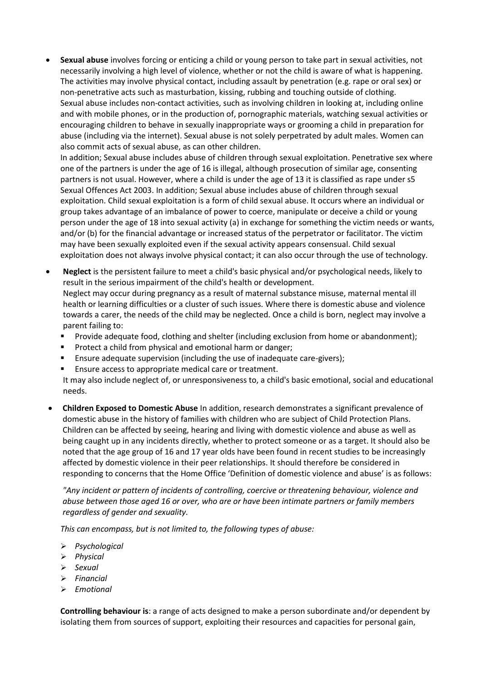• **Sexual abuse** involves forcing or enticing a child or young person to take part in sexual activities, not necessarily involving a high level of violence, whether or not the child is aware of what is happening. The activities may involve physical contact, including assault by penetration (e.g. rape or oral sex) or non-penetrative acts such as masturbation, kissing, rubbing and touching outside of clothing. Sexual abuse includes non-contact activities, such as involving children in looking at, including online and with mobile phones, or in the production of, pornographic materials, watching sexual activities or encouraging children to behave in sexually inappropriate ways or grooming a child in preparation for abuse (including via the internet). Sexual abuse is not solely perpetrated by adult males. Women can also commit acts of sexual abuse, as can other children.

In addition; Sexual abuse includes abuse of children through sexual exploitation. Penetrative sex where one of the partners is under the age of 16 is illegal, although prosecution of similar age, consenting partners is not usual. However, where a child is under the age of 13 it is classified as rape under s5 Sexual Offences Act 2003. In addition; Sexual abuse includes abuse of children through sexual exploitation. Child sexual exploitation is a form of child sexual abuse. It occurs where an individual or group takes advantage of an imbalance of power to coerce, manipulate or deceive a child or young person under the age of 18 into sexual activity (a) in exchange for something the victim needs or wants, and/or (b) for the financial advantage or increased status of the perpetrator or facilitator. The victim may have been sexually exploited even if the sexual activity appears consensual. Child sexual exploitation does not always involve physical contact; it can also occur through the use of technology.

- **Neglect** is the persistent failure to meet a child's basic physical and/or psychological needs, likely to result in the serious impairment of the child's health or development. Neglect may occur during pregnancy as a result of maternal substance misuse, maternal mental ill health or learning difficulties or a cluster of such issues. Where there is domestic abuse and violence towards a carer, the needs of the child may be neglected. Once a child is born, neglect may involve a parent failing to:
	- Provide adequate food, clothing and shelter (including exclusion from home or abandonment);
	- Protect a child from physical and emotional harm or danger;
	- **E** Ensure adequate supervision (including the use of inadequate care-givers);
	- Ensure access to appropriate medical care or treatment.

It may also include neglect of, or unresponsiveness to, a child's basic emotional, social and educational needs.

• **Children Exposed to Domestic Abuse** In addition, research demonstrates a significant prevalence of domestic abuse in the history of families with children who are subject of Child Protection Plans. Children can be affected by seeing, hearing and living with domestic violence and abuse as well as being caught up in any incidents directly, whether to protect someone or as a target. It should also be noted that the age group of 16 and 17 year olds have been found in recent studies to be increasingly affected by domestic violence in their peer relationships. It should therefore be considered in responding to concerns that the [Home Office 'Definition of domestic violence and abuse'](https://www.gov.uk/government/publications/definition-of-domestic-violence-and-abuse-guide-for-local-areas) is as follows:

*"Any incident or pattern of incidents of controlling, coercive or threatening behaviour, violence and abuse between those aged 16 or over, who are or have been intimate partners or family members regardless of gender and sexuality.*

*This can encompass, but is not limited to, the following types of abuse:*

- ➢ *Psychological*
- ➢ *Physical*
- ➢ *Sexual*
- ➢ *Financial*
- ➢ *Emotional*

**Controlling behaviour is**: a range of acts designed to make a person subordinate and/or dependent by isolating them from sources of support, exploiting their resources and capacities for personal gain,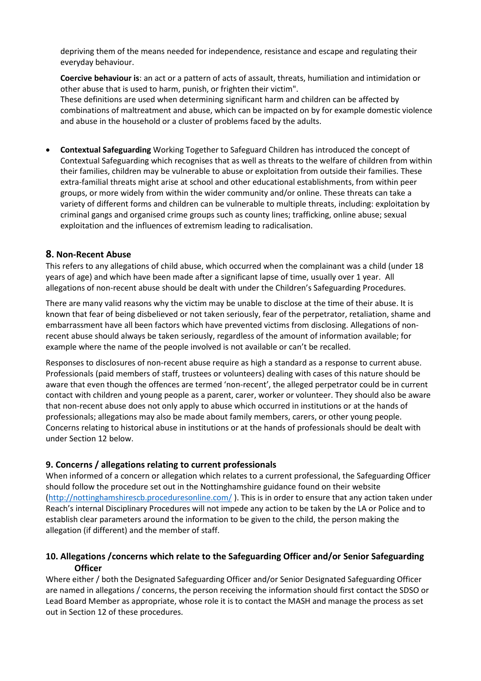depriving them of the means needed for independence, resistance and escape and regulating their everyday behaviour.

**Coercive behaviour is**: an act or a pattern of acts of assault, threats, humiliation and intimidation or other abuse that is used to harm, punish, or frighten their victim".

These definitions are used when determining significant harm and children can be affected by combinations of maltreatment and abuse, which can be impacted on by for example domestic violence and abuse in the household or a cluster of problems faced by the adults.

• **Contextual Safeguarding** Working Together to Safeguard Children has introduced the concept of Contextual Safeguarding which recognises that as well as threats to the welfare of children from within their families, children may be vulnerable to abuse or exploitation from outside their families. These extra-familial threats might arise at school and other educational establishments, from within peer groups, or more widely from within the wider community and/or online. These threats can take a variety of different forms and children can be vulnerable to multiple threats, including: exploitation by criminal gangs and organised crime groups such as county lines; trafficking, online abuse; sexual exploitation and the influences of extremism leading to radicalisation.

#### **8. Non-Recent Abuse**

This refers to any allegations of child abuse, which occurred when the complainant was a child (under 18 years of age) and which have been made after a significant lapse of time, usually over 1 year. All allegations of non-recent abuse should be dealt with under the Children's Safeguarding Procedures.

There are many valid reasons why the victim may be unable to disclose at the time of their abuse. It is known that fear of being disbelieved or not taken seriously, fear of the perpetrator, retaliation, shame and embarrassment have all been factors which have prevented victims from disclosing. Allegations of nonrecent abuse should always be taken seriously, regardless of the amount of information available; for example where the name of the people involved is not available or can't be recalled.

Responses to disclosures of non-recent abuse require as high a standard as a response to current abuse. Professionals (paid members of staff, trustees or volunteers) dealing with cases of this nature should be aware that even though the offences are termed 'non-recent', the alleged perpetrator could be in current contact with children and young people as a parent, carer, worker or volunteer. They should also be aware that non-recent abuse does not only apply to abuse which occurred in institutions or at the hands of professionals; allegations may also be made about family members, carers, or other young people. Concerns relating to historical abuse in institutions or at the hands of professionals should be dealt with under Section 12 below.

#### **9. Concerns / allegations relating to current professionals**

When informed of a concern or allegation which relates to a current professional, the Safeguarding Officer should follow the procedure set out in the Nottinghamshire guidance found on their website [\(http://nottinghamshirescb.proceduresonline.com/](http://nottinghamshirescb.proceduresonline.com/) ). This is in order to ensure that any action taken under Reach's internal Disciplinary Procedures will not impede any action to be taken by the LA or Police and to establish clear parameters around the information to be given to the child, the person making the allegation (if different) and the member of staff.

#### **10. Allegations /concerns which relate to the Safeguarding Officer and/or Senior Safeguarding Officer**

Where either / both the Designated Safeguarding Officer and/or Senior Designated Safeguarding Officer are named in allegations / concerns, the person receiving the information should first contact the SDSO or Lead Board Member as appropriate, whose role it is to contact the MASH and manage the process as set out in Section 12 of these procedures.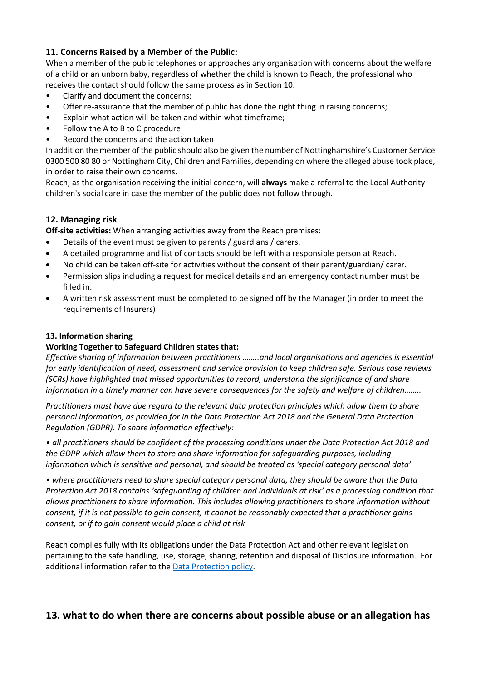#### **11. Concerns Raised by a Member of the Public:**

When a member of the public telephones or approaches any organisation with concerns about the welfare of a child or an unborn baby, regardless of whether the child is known to Reach, the professional who receives the contact should follow the same process as in Section 10.

- Clarify and document the concerns;
- Offer re-assurance that the member of public has done the right thing in raising concerns;
- Explain what action will be taken and within what timeframe;
- Follow the A to B to C procedure
- Record the concerns and the action taken

In addition the member of the public should also be given the number of Nottinghamshire's Customer Service 0300 500 80 80 or Nottingham City, Children and Families, depending on where the alleged abuse took place, in order to raise their own concerns.

Reach, as the organisation receiving the initial concern, will **always** make a referral to the Local Authority children's social care in case the member of the public does not follow through.

#### **12. Managing risk**

**Off-site activities:** When arranging activities away from the Reach premises:

- Details of the event must be given to parents / guardians / carers.
- A detailed programme and list of contacts should be left with a responsible person at Reach.
- No child can be taken off-site for activities without the consent of their parent/guardian/ carer.
- Permission slips including a request for medical details and an emergency contact number must be filled in.
- A written risk assessment must be completed to be signed off by the Manager (in order to meet the requirements of Insurers)

#### **13. Information sharing**

#### **Working Together to Safeguard Children states that:**

*Effective sharing of information between practitioners ……..and local organisations and agencies is essential for early identification of need, assessment and service provision to keep children safe. Serious case reviews (SCRs) have highlighted that missed opportunities to record, understand the significance of and share information in a timely manner can have severe consequences for the safety and welfare of children……..*

*Practitioners must have due regard to the relevant data protection principles which allow them to share personal information, as provided for in the Data Protection Act 2018 and the General Data Protection Regulation (GDPR). To share information effectively:* 

*• all practitioners should be confident of the processing conditions under the Data Protection Act 2018 and the GDPR which allow them to store and share information for safeguarding purposes, including information which is sensitive and personal, and should be treated as 'special category personal data'* 

*• where practitioners need to share special category personal data, they should be aware that the Data Protection Act 2018 contains 'safeguarding of children and individuals at risk' as a processing condition that allows practitioners to share information. This includes allowing practitioners to share information without consent, if it is not possible to gain consent, it cannot be reasonably expected that a practitioner gains consent, or if to gain consent would place a child at risk* 

Reach complies fully with its obligations under the Data Protection Act and other relevant legislation pertaining to the safe handling, use, storage, sharing, retention and disposal of Disclosure information. For additional information refer to th[e Data Protection policy.](https://reachuk.sharepoint.com/sites/documentlibrary/Shared%20Documents/Forms/AllItems.aspx?id=%2Fsites%2Fdocumentlibrary%2FShared%20Documents%2FPolicies%20and%20Procedures%2FCurrent%20Policies%2FData%20Protection%20Policy%2Epdf&parent=%2Fsites%2Fdocumentlibrary%2FShared%20Documents%2FPolicies%20and%20Procedures%2FCurrent%20Policies)

# **13. what to do when there are concerns about possible abuse or an allegation has**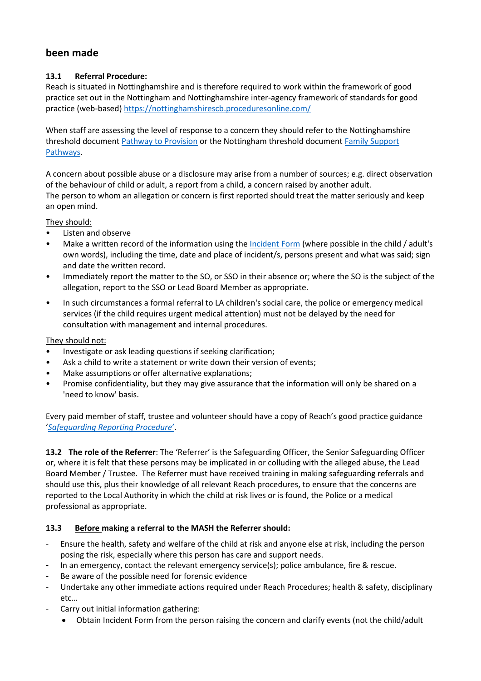# **been made**

#### **13.1 Referral Procedure:**

Reach is situated in Nottinghamshire and is therefore required to work within the framework of good practice set out in the Nottingham and Nottinghamshire inter-agency framework of standards for good practice (web-based) <https://nottinghamshirescb.proceduresonline.com/>

When staff are assessing the level of response to a concern they should refer to the Nottinghamshire threshold document [Pathway to Provision](https://reachuk.sharepoint.com/sites/documentlibrary/Shared%20Documents/Policies%20and%20Procedures/Procedures%20and%20forms/Safeguarding%20and%20Prevent/pathwaytoprovisionhandbook.pdf) or the Nottingham threshold document [Family Support](https://reachuk.sharepoint.com/sites/documentlibrary/Shared%20Documents/Policies%20and%20Procedures/Procedures%20and%20forms/Safeguarding%20and%20Prevent/57291_family-support-pathways_8319_hr.pdf)  [Pathways.](https://reachuk.sharepoint.com/sites/documentlibrary/Shared%20Documents/Policies%20and%20Procedures/Procedures%20and%20forms/Safeguarding%20and%20Prevent/57291_family-support-pathways_8319_hr.pdf)

A concern about possible abuse or a disclosure may arise from a number of sources; e.g. direct observation of the behaviour of child or adult, a report from a child, a concern raised by another adult. The person to whom an allegation or concern is first reported should treat the matter seriously and keep an open mind.

They should:

- Listen and observe
- Make a written record of the information using th[e Incident](https://reachuk.sharepoint.com/:w:/r/sites/documentlibrary/_layouts/15/Doc.aspx?sourcedoc=%7BE0BA724C-06CF-4587-B493-2D2A564C79F2%7D&file=Safeguarding%20Incident%20Report%20Form.docx&action=default&mobileredirect=true) Form (where possible in the child / adult's own words), including the time, date and place of incident/s, persons present and what was said; sign and date the written record.
- Immediately report the matter to the SO, or SSO in their absence or; where the SO is the subject of the allegation, report to the SSO or Lead Board Member as appropriate.
- In such circumstances a formal referral to LA children's social care, the police or emergency medical services (if the child requires urgent medical attention) must not be delayed by the need for consultation with management and internal procedures.

#### They should not:

- Investigate or ask leading questions if seeking clarification;
- Ask a child to write a statement or write down their version of events;
- Make assumptions or offer alternative explanations;
- Promise confidentiality, but they may give assurance that the information will only be shared on a 'need to know' basis.

Every paid member of staff, trustee and volunteer should have a copy of Reach's good practice guidance '*[Safeguarding Reporting Procedure](https://reachuk.sharepoint.com/sites/documentlibrary/Shared%20Documents/Policies%20and%20Procedures/Procedures%20and%20forms/Safeguarding%20and%20Prevent/Safeguarding%20Reporting%20Procedures/Safeguarding%20Reporting%20Procedure%20-%20Newark.docx?d=w225a83080af041208dbbf42fc3166014)*'.

**13.2 The role of the Referrer**: The 'Referrer' is the Safeguarding Officer, the Senior Safeguarding Officer or, where it is felt that these persons may be implicated in or colluding with the alleged abuse, the Lead Board Member / Trustee. The Referrer must have received training in making safeguarding referrals and should use this, plus their knowledge of all relevant Reach procedures, to ensure that the concerns are reported to the Local Authority in which the child at risk lives or is found, the Police or a medical professional as appropriate.

#### **13.3 Before making a referral to the MASH the Referrer should:**

- Ensure the health, safety and welfare of the child at risk and anyone else at risk, including the person posing the risk, especially where this person has care and support needs.
- In an emergency, contact the relevant emergency service(s); police ambulance, fire & rescue.
- Be aware of the possible need for forensic evidence
- Undertake any other immediate actions required under Reach Procedures; health & safety, disciplinary etc…
- Carry out initial information gathering:
	- Obtain Incident Form from the person raising the concern and clarify events (not the child/adult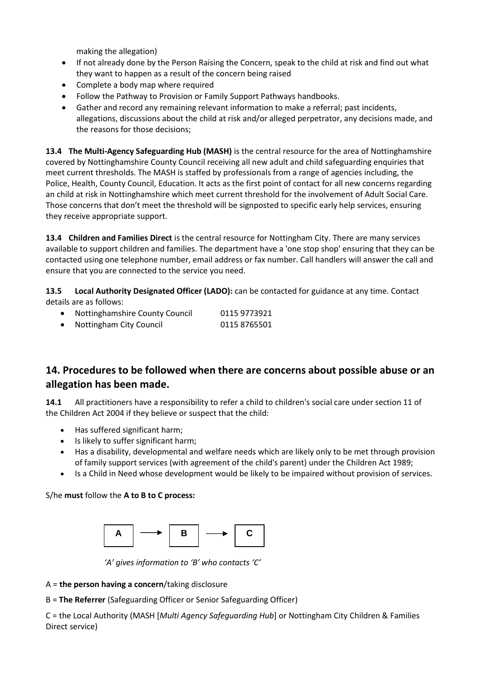making the allegation)

- If not already done by the Person Raising the Concern, speak to the child at risk and find out what they want to happen as a result of the concern being raised
- Complete a body map where required
- Follow the Pathway to Provision or Family Support Pathways handbooks.
- Gather and record any remaining relevant information to make a referral; past incidents, allegations, discussions about the child at risk and/or alleged perpetrator, any decisions made, and the reasons for those decisions;

**13.4 The Multi-Agency Safeguarding Hub (MASH)** is the central resource for the area of Nottinghamshire covered by Nottinghamshire County Council receiving all new adult and child safeguarding enquiries that meet current thresholds. The MASH is staffed by professionals from a range of agencies including, the Police, Health, County Council, Education. It acts as the first point of contact for all new concerns regarding an child at risk in Nottinghamshire which meet current threshold for the involvement of Adult Social Care. Those concerns that don't meet the threshold will be signposted to specific early help services, ensuring they receive appropriate support.

**13.4 Children and Families Direct** is the central resource for Nottingham City. There are many services available to support children and families. The department have a 'one stop shop' ensuring that they can be contacted using one telephone number, email address or fax number. Call handlers will answer the call and ensure that you are connected to the service you need.

**13.5 Local Authority Designated Officer (LADO):** can be contacted for guidance at any time. Contact details are as follows:

• Nottinghamshire County Council 0115 9773921 • Nottingham City Council 0115 8765501

# **14. Procedures to be followed when there are concerns about possible abuse or an allegation has been made.**

**14.1** All practitioners have a responsibility to refer a child to children's social care under section 11 of the Children Act 2004 if they believe or suspect that the child:

- Has suffered significant harm;
- Is likely to suffer significant harm;
- Has a disability, developmental and welfare needs which are likely only to be met through provision of family support services (with agreement of the child's parent) under the Children Act 1989;
- Is a Child in Need whose development would be likely to be impaired without provision of services.

S/he **must** follow the **A to B to C process:** 



 *'A' gives information to 'B' who contacts 'C'*

A = **the person having a concern**/taking disclosure

B = **The Referrer** (Safeguarding Officer or Senior Safeguarding Officer)

C = the Local Authority (MASH [*Multi Agency Safeguarding Hub*] or Nottingham City Children & Families Direct service)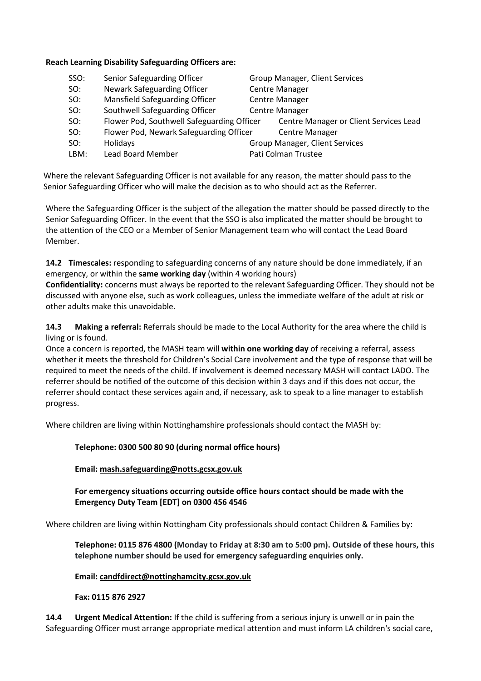#### **Reach Learning Disability Safeguarding Officers are:**

| SSO: | Senior Safeguarding Officer                | Group Manager, Client Services         |
|------|--------------------------------------------|----------------------------------------|
| SO:  | Newark Safeguarding Officer                | <b>Centre Manager</b>                  |
| SO:  | Mansfield Safeguarding Officer             | <b>Centre Manager</b>                  |
| SO:  | Southwell Safeguarding Officer             | <b>Centre Manager</b>                  |
| SO:  | Flower Pod, Southwell Safeguarding Officer | Centre Manager or Client Services Lead |
| SO:  | Flower Pod, Newark Safeguarding Officer    | <b>Centre Manager</b>                  |
| SO:  | Holidays                                   | Group Manager, Client Services         |
| LBM: | Lead Board Member                          | Pati Colman Trustee                    |

Where the relevant Safeguarding Officer is not available for any reason, the matter should pass to the Senior Safeguarding Officer who will make the decision as to who should act as the Referrer.

Where the Safeguarding Officer is the subject of the allegation the matter should be passed directly to the Senior Safeguarding Officer. In the event that the SSO is also implicated the matter should be brought to the attention of the CEO or a Member of Senior Management team who will contact the Lead Board Member.

**14.2 Timescales:** responding to safeguarding concerns of any nature should be done immediately, if an emergency, or within the **same working day** (within 4 working hours)

**Confidentiality:** concerns must always be reported to the relevant Safeguarding Officer. They should not be discussed with anyone else, such as work colleagues, unless the immediate welfare of the adult at risk or other adults make this unavoidable.

**14.3 Making a referral:** Referrals should be made to the Local Authority for the area where the child is living or is found.

Once a concern is reported, the MASH team will **within one working day** of receiving a referral, assess whether it meets the threshold for Children's Social Care involvement and the type of response that will be required to meet the needs of the child. If involvement is deemed necessary MASH will contact LADO. The referrer should be notified of the outcome of this decision within 3 days and if this does not occur, the referrer should contact these services again and, if necessary, ask to speak to a line manager to establish progress.

Where children are living within Nottinghamshire professionals should contact the MASH by:

#### **Telephone: 0300 500 80 90 (during normal office hours)**

#### **Email: [mash.safeguarding@notts.gcsx.gov.uk](mailto:mash.safeguarding@notts.gcsx.gov.uk)**

#### **For emergency situations occurring outside office hours contact should be made with the Emergency Duty Team [EDT] on 0300 456 4546**

Where children are living within Nottingham City professionals should contact Children & Families by:

**Telephone: 0115 876 4800 (Monday to Friday at 8:30 am to 5:00 pm). Outside of these hours, this telephone number should be used for emergency safeguarding enquiries only.**

#### **Email: [candfdirect@nottinghamcity.gcsx.gov.uk](mailto:candfdirect@nottinghamcity.gcsx.gov.uk)**

#### **Fax: 0115 876 2927**

**14.4 Urgent Medical Attention:** If the child is suffering from a serious injury is unwell or in pain the Safeguarding Officer must arrange appropriate medical attention and must inform LA children's social care,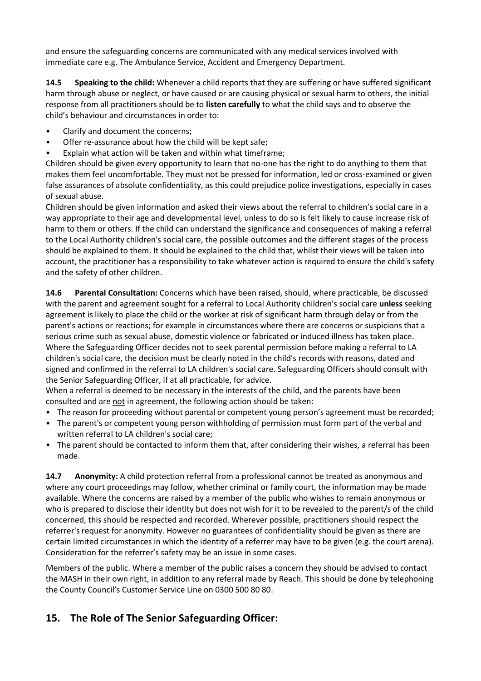and ensure the safeguarding concerns are communicated with any medical services involved with immediate care e.g. The Ambulance Service, Accident and Emergency Department.

**14.5 Speaking to the child:** Whenever a child reports that they are suffering or have suffered significant harm through abuse or neglect, or have caused or are causing physical or sexual harm to others, the initial response from all practitioners should be to **listen carefully** to what the child says and to observe the child's behaviour and circumstances in order to:

- Clarify and document the concerns;
- Offer re-assurance about how the child will be kept safe;
- Explain what action will be taken and within what timeframe;

Children should be given every opportunity to learn that no-one has the right to do anything to them that makes them feel uncomfortable. They must not be pressed for information, led or cross-examined or given false assurances of absolute confidentiality, as this could prejudice police investigations, especially in cases of sexual abuse.

Children should be given information and asked their views about the referral to children's social care in a way appropriate to their age and developmental level, unless to do so is felt likely to cause increase risk of harm to them or others. If the child can understand the significance and consequences of making a referral to the Local Authority children's social care, the possible outcomes and the different stages of the process should be explained to them. It should be explained to the child that, whilst their views will be taken into account, the practitioner has a responsibility to take whatever action is required to ensure the child's safety and the safety of other children.

**14.6 Parental Consultation:** Concerns which have been raised, should, where practicable, be discussed with the parent and agreement sought for a referral to Local Authority children's social care **unless** seeking agreement is likely to place the child or the worker at risk of significant harm through delay or from the parent's actions or reactions; for example in circumstances where there are concerns or suspicions that a serious crime such as sexual abuse, domestic violence or fabricated or induced illness has taken place. Where the Safeguarding Officer decides not to seek parental permission before making a referral to LA children's social care, the decision must be clearly noted in the child's records with reasons, dated and signed and confirmed in the referral to LA children's social care. Safeguarding Officers should consult with the Senior Safeguarding Officer, if at all practicable, for advice.

When a referral is deemed to be necessary in the interests of the child, and the parents have been consulted and are not in agreement, the following action should be taken:

- The reason for proceeding without parental or competent young person's agreement must be recorded;
- The parent's or competent young person withholding of permission must form part of the verbal and written referral to LA children's social care;
- The parent should be contacted to inform them that, after considering their wishes, a referral has been made.

**14.7 Anonymity:** A child protection referral from a professional cannot be treated as anonymous and where any court proceedings may follow, whether criminal or family court, the information may be made available. Where the concerns are raised by a member of the public who wishes to remain anonymous or who is prepared to disclose their identity but does not wish for it to be revealed to the parent/s of the child concerned, this should be respected and recorded. Wherever possible, practitioners should respect the referrer's request for anonymity. However no guarantees of confidentiality should be given as there are certain limited circumstances in which the identity of a referrer may have to be given (e.g. the court arena). Consideration for the referrer's safety may be an issue in some cases.

Members of the public. Where a member of the public raises a concern they should be advised to contact the MASH in their own right, in addition to any referral made by Reach. This should be done by telephoning the County Council's Customer Service Line on 0300 500 80 80.

# **15. The Role of The Senior Safeguarding Officer:**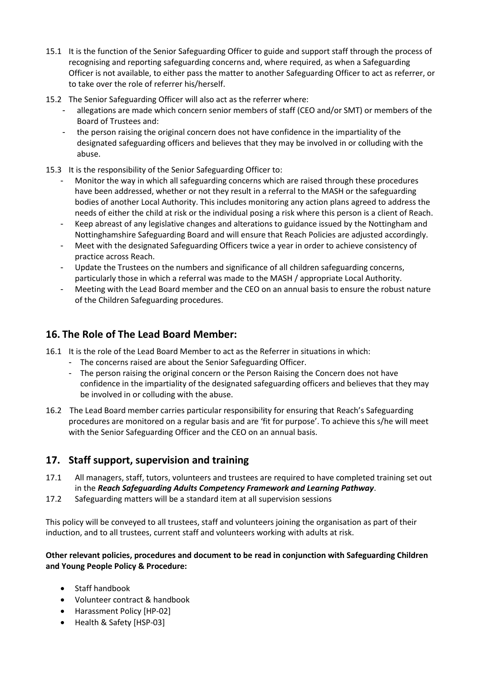- 15.1 It is the function of the Senior Safeguarding Officer to guide and support staff through the process of recognising and reporting safeguarding concerns and, where required, as when a Safeguarding Officer is not available, to either pass the matter to another Safeguarding Officer to act as referrer, or to take over the role of referrer his/herself.
- 15.2 The Senior Safeguarding Officer will also act as the referrer where:
	- allegations are made which concern senior members of staff (CEO and/or SMT) or members of the Board of Trustees and:
	- the person raising the original concern does not have confidence in the impartiality of the designated safeguarding officers and believes that they may be involved in or colluding with the abuse.
- 15.3 It is the responsibility of the Senior Safeguarding Officer to:
	- Monitor the way in which all safeguarding concerns which are raised through these procedures have been addressed, whether or not they result in a referral to the MASH or the safeguarding bodies of another Local Authority. This includes monitoring any action plans agreed to address the needs of either the child at risk or the individual posing a risk where this person is a client of Reach.
	- Keep abreast of any legislative changes and alterations to guidance issued by the Nottingham and Nottinghamshire Safeguarding Board and will ensure that Reach Policies are adjusted accordingly.
	- Meet with the designated Safeguarding Officers twice a year in order to achieve consistency of practice across Reach.
	- Update the Trustees on the numbers and significance of all children safeguarding concerns, particularly those in which a referral was made to the MASH / appropriate Local Authority.
	- Meeting with the Lead Board member and the CEO on an annual basis to ensure the robust nature of the Children Safeguarding procedures.

# **16. The Role of The Lead Board Member:**

- 16.1 It is the role of the Lead Board Member to act as the Referrer in situations in which:
	- The concerns raised are about the Senior Safeguarding Officer.
	- The person raising the original concern or the Person Raising the Concern does not have confidence in the impartiality of the designated safeguarding officers and believes that they may be involved in or colluding with the abuse.
- 16.2 The Lead Board member carries particular responsibility for ensuring that Reach's Safeguarding procedures are monitored on a regular basis and are 'fit for purpose'. To achieve this s/he will meet with the Senior Safeguarding Officer and the CEO on an annual basis.

#### **17. Staff support, supervision and training**

- 17.1 All managers, staff, tutors, volunteers and trustees are required to have completed training set out in the *Reach Safeguarding Adults Competency Framework and Learning Pathway*.
- 17.2 Safeguarding matters will be a standard item at all supervision sessions

This policy will be conveyed to all trustees, staff and volunteers joining the organisation as part of their induction, and to all trustees, current staff and volunteers working with adults at risk.

#### **Other relevant policies, procedures and document to be read in conjunction with Safeguarding Children and Young People Policy & Procedure:**

- Staff handbook
- Volunteer contract & handbook
- Harassment Policy [HP-02]
- Health & Safety [HSP-03]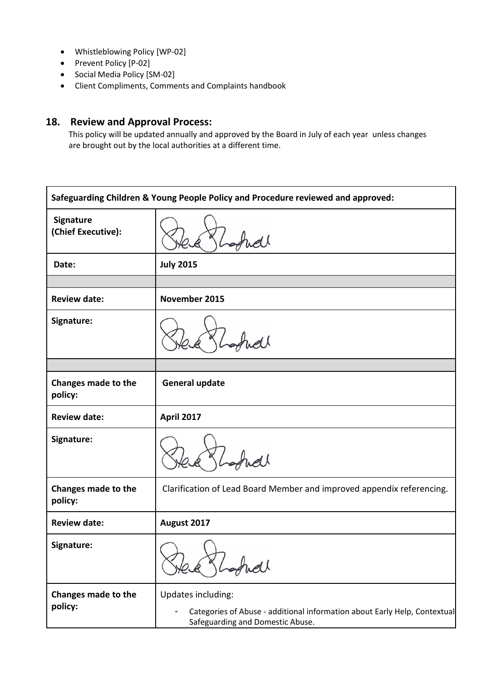- Whistleblowing Policy [WP-02]
- Prevent Policy [P-02]
- Social Media Policy [SM-02]
- Client Compliments, Comments and Complaints handbook

# **18. Review and Approval Process:**

This policy will be updated annually and approved by the Board in July of each year unless changes are brought out by the local authorities at a different time.

| Safeguarding Children & Young People Policy and Procedure reviewed and approved: |                                                                                                                                     |  |
|----------------------------------------------------------------------------------|-------------------------------------------------------------------------------------------------------------------------------------|--|
| Signature<br>(Chief Executive):                                                  |                                                                                                                                     |  |
| Date:                                                                            | <b>July 2015</b>                                                                                                                    |  |
|                                                                                  |                                                                                                                                     |  |
| <b>Review date:</b>                                                              | November 2015                                                                                                                       |  |
| Signature:                                                                       |                                                                                                                                     |  |
|                                                                                  |                                                                                                                                     |  |
| Changes made to the<br>policy:                                                   | <b>General update</b>                                                                                                               |  |
| <b>Review date:</b>                                                              | <b>April 2017</b>                                                                                                                   |  |
| Signature:                                                                       |                                                                                                                                     |  |
| Changes made to the<br>policy:                                                   | Clarification of Lead Board Member and improved appendix referencing.                                                               |  |
| <b>Review date:</b>                                                              | August 2017                                                                                                                         |  |
| Signature:                                                                       |                                                                                                                                     |  |
| Changes made to the<br>policy:                                                   | Updates including:<br>Categories of Abuse - additional information about Early Help, Contextual<br>Safeguarding and Domestic Abuse. |  |